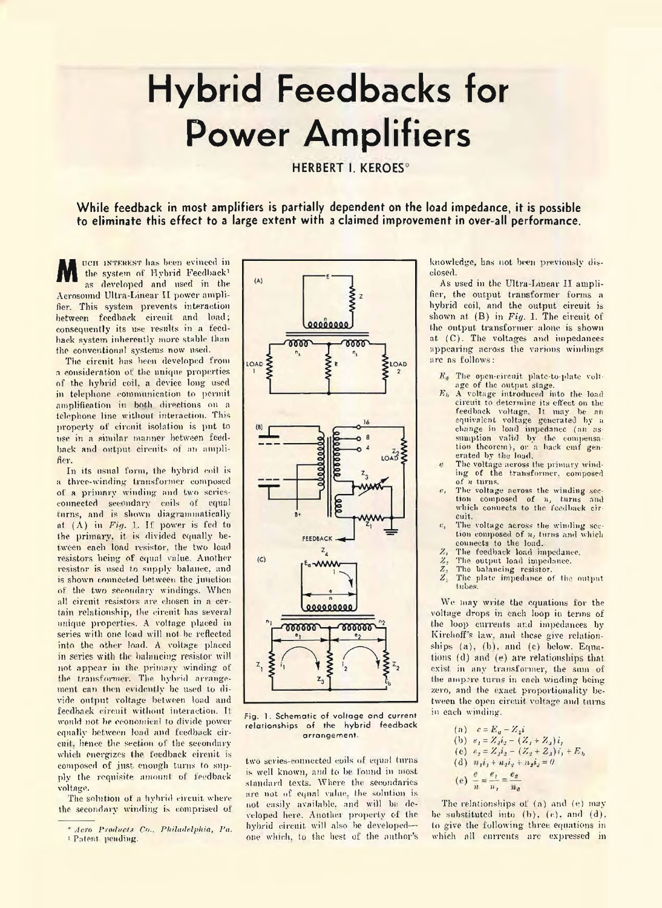## **Hybrid Feedbacks for Power Amplifiers**

**HERBERT I. KEROES\***

**While feedback in most amplifiers is partially dependent on the load impedance, it is possible to eliminate this effect to a large extent with a claimed improvement in over-all performance.**

UCH INTEREST has been evinced in the system of Hybrid Feedback<sup>1</sup> as developed and used in the Aerosoimd Ultra-Linear II power amplifier. This system prevents interaction between feedback circuit and load; consequently its use results in a feedback system inherently more stable than the conventional systems now used.

The circuit has been developed from a consideration of the unique properties of the hybrid coil, a device long used in telephone communication to permit amplification in both directions on a telephone line without interaction. This property of circuit isolation is put to use in a similar manner between feedback and output circuits of an amplifier.

In its usual form, the hybrid coil is a three-winding transformer composed of a primary winding and two seriesconnected secondary coils of equal turns, and is shown diagrammatically at  $(A)$  in  $Fig. 1.$  If power is fed to the primary, it is divided equally between each load resistor, the two load resistors being of equal value. Another resistor is used to supply balance, and is shown connected between the junction of the two secondary windings. When all circuit resistors are chosen in a certain relationship, the circuit has several unique properties. A voltage placed in series with one load will not be reflected into the other load. A voltage placed in series with the balancing resistor will not. appear in lhe primary winding of the transformer. The hybrid arrangement can then evidently be used to divide output voltage between load and feedback circuit without interaction. It would not be economical to divide power equally between load and feedback circuit. hence the section of the secondary which energizes the feedback circuit is composed of just enough turns to supply the requisite amount of feedback voltage.

The solution of a hybrid circuit where the secondary winding is comprised of

**Fig. 1. Schematic of voltage and current relationships of the hybrid feedback arrangement.**

two series-connected coils of equal turns is well known, and to be found in most standard texts. Where the secondaries are not of equal value, the solution is not easily available, and will be developed here. Another properly of the hybrid circuit will also be developedone which, to the best of the author's knowledge, has not been previously disclosed.

As used in the Ultra-Linear II amplifier, the output transformer forms a hybrid coil, and the output circuit is shown at (B) in *Fig.* 1. The circuit of the output transformer alone is shown at. (C). The voltages and impedances appearing across the various windings are as follows:

- The open-circuit plate-to-ptate voltage of the output stage.
- *Fi,* A voltage introduced into the load circuit to determine its effect on the feedback voltage. It may be an equivalent voltage generated by a change in load impedance (an assumption valid by the compensation theorem), or a back emf generated by the load.
- *i* The voltage across the primary winding of the transformer, composed of *n* turns.
- The voltage across the winding section composed of *n,* turns and which connects to the feedback circuit.
- $e_i$  The voltage across the winding section composed of *n,* turns and which connects to the load.
- 
- The output load impedance.
- *Z<sub>1</sub>* The feedback load impedance.<br>*Z<sub>2</sub>* The output load impedance.<br>*Z<sub>3</sub>* The plate impedance of the o *Z.* The balancing resistor.
- *'A.* The plate impedance of the output tubes.

We may write the equations for the voltage drops in each loop in terms of the loop currents and impedances by Kirch off's law. and these give relationships (a), (b), and (c) below. Equations (d) and (e) are relationships that exist in any transformer, the sum of the ampere turns in each winding being zero, and the exact proportionality between the open circuit voltage and turns in each winding.

(a) 
$$
c = E_u - Z_{\frac{1}{2}i}
$$
  
\n(b)  $e_1 = Z_3 i_2 - (Z_1 + Z_3)i_1$   
\n(c)  $e_2 = Z_3 i_2 - (Z_2 + Z_3)i_1 + E_b$   
\n(d)  $n_1 i_1 + n_2 i_2 + n_3 i_3 = 0$   
\n(e)  $\frac{e}{n} = \frac{e_1}{n_1} = \frac{e_2}{n_2}$ 

The relationships of  $(a)$  and  $(e)$  may be substituted into  $(b)$ ,  $(e)$ , and  $(d)$ , to give the following three equations in which all currents are expressed in

<sup>\*</sup> *Aero P roducts Co.. P hiladelphia, Pa.* i Patent pending.

 $(A)$  $\overline{z}$  $00000000$ 6666 8666  $\sum_{i=1}^{n}$ LOAD 1A  $\frac{z_2}{2}$ FEEDBACK  $Z_{\underline{A}}$  $(C)$ **Researce TODOOO 000000** ξ  $z_3$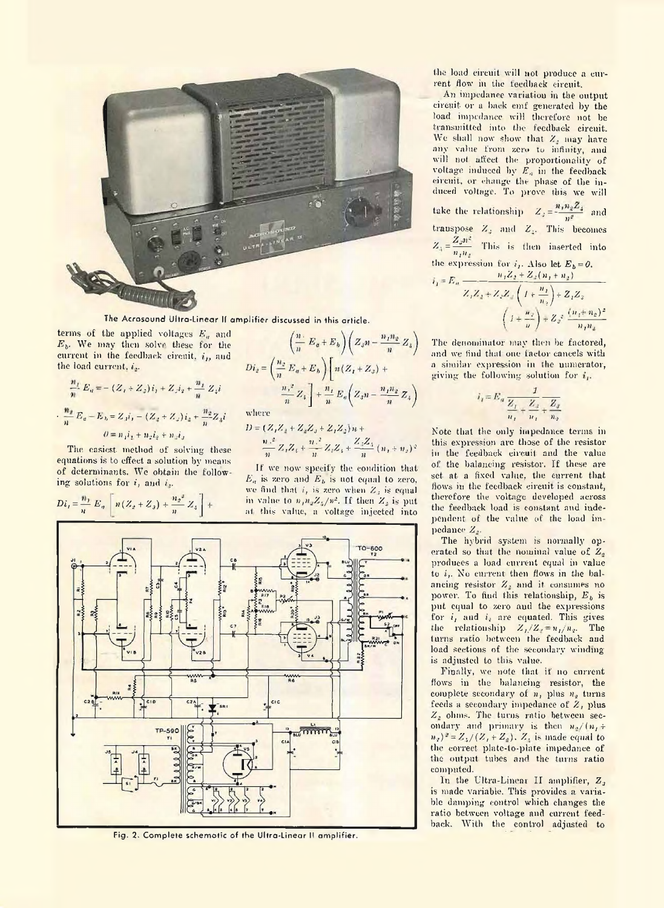

**The Acrosound Ultra-Linear II amplifier discussed in this article.**

terms of the applied voltages  $E_n$  and *Ef,.* We may then solve these for the current in the feedback circuit,  $i_D$  and the load current, *i..*

$$
\frac{n_1}{n} E_a = - (Z_1 + Z_2)i_1 + Z_2i_2 + \frac{n_1}{n} Z_4 i
$$
  

$$
\frac{n_2}{n} E_a - E_b = Z_2 i_1 - (Z_2 + Z_2)i_2 + \frac{n_2}{n} Z_4 i
$$
  

$$
\theta = n_1 i_1 + n_2 i_2 + n_3 i_3
$$

The easiest method of solving these equations is to effect a solution by means of determinants. We obtain the following solutions for *i,* ami *i,.*

$$
Di_t = \frac{n_1}{n} E_n \left[ n(Z_2 + Z_3) + \frac{n_2^2}{n} Z_3 \right] +
$$

$$
\left(\frac{n}{n}E_a + E_b\right)\left(Z_s n - \frac{n_1 n_2}{n} Z_4\right)
$$
\n
$$
Di_2 = \left(\frac{n_2}{n}E_a + E_b\right)\left[n(Z_1 + Z_2) + \frac{n_1 n_2}{n} Z_4\right]
$$
\n
$$
=\frac{n_1 n_2}{n} Z_4 \left[1 + \frac{n_1}{n} E_a\left(Z_s n - \frac{n_1 n_2}{n} Z_4\right)\right]
$$
\nwhere

where

$$
D = (Z_1 Z_2 + Z_2 Z_3 + Z_1 Z_2) n +
$$
  

$$
\frac{n^2}{n^2} Z_1 Z_4 + \frac{n^2}{n^2} Z_2 Z_4 + \frac{Z_3 Z_4}{n^2} (n_1 + n_2)^2
$$

If we now specify the condition that  $E_a$  is zero and  $E_b$  is not equal to zero, we find that  $i$ , is zero when  $Z_i$  is equal in value to  $n_1n_2Z_4/n^2$ . If then  $Z_1$  is put at this value, a voltage injected into



**Fig. 2. Complete schemotic of the Ultra-Linear II amplifier.**

the load circuit will not produce a current flow in the feedback circuit.

An impedance variation in the output circuit or a hack emf generated by the load impedance will therefore not he transmitted into the feedback circuit. We shall now show that *Z,* may have any value from zero to infinity, and will not affect the proportionality of voltage induced by  $E_n$  in the feedback circuit, or change the phase of the induced voltage. To prove this we will take the relationship  $Z_j = -\frac{\mu_{j+1}Z_j}{n^2}$  and transpose *Z.* and Z.. This becomes  $Z_+ = \frac{Z_+}{n_1 n_2}$  This is then inserted into the expression for *i<sub>1</sub>*. Also let  $E_{b} = 0$ .  $E_n \longrightarrow -\frac{n_1 Z_2 + Z_3(n_1 + n_2)}{n_1}$  $Z_1 Z_2 + Z_2 Z_3$  (1 +  $\frac{1}{2}$  +  $Z_1 Z_3$ )  $\left(1 + \frac{m}{\nu}\right) + Z_3 = \frac{m_1 m_2}{n_1 n_2}$ 

The denominator may then be factored. and we find that one factor cancels with a similar expression in the numerator, giving the following solution for  $i_{\nu}$ .

$$
i_1 = E_a \frac{1}{\frac{Z_1}{n_1} + \frac{Z_3}{n_2} + \frac{Z_3}{n_2}}
$$

Note that the only impedance terms in this expression are those of the resistor in the feedback circuit and the value of the balancing resistor. If these are set at a fixed value, the current that flows in the feedback circuit is constant, therefore the voltage developed across the feedback load is constant and independent of the value of the load impedance *Z,.*

The hybrid system is normally operated so that the nominal value of  $Z<sub>a</sub>$ produces a load current equal in value to *i,.* No current then flows in the balancing resistor Z. and it consumes no power. To find this relationship,  $E_b$  is put equal to zero and the expressions for *i,* and *i,* are equated. This gives the relationship  $Z_1/Z_2 = n_1/n_2$ . The turns ratio between the feedback and load sections of the secondary winding is adjusted to this value.

Finally, we note that if no current flows in the balancing resistor, the complete secondary of  $n_1$  plus  $n_2$  turns feeds a secondary impedance of  $Z$ , plus *Z,* ohms. The turns ratio between secondary and primary is then  $n_s/(n_f \pm 1)$  $(n_2)^2 = Z_1/(Z_1 + Z_2)$ . Z, is made equal to the correct phite-lo-plate impedance of the output tubes and the turns ratio computed.

In the Ultra-Linear II amplifier, Z<sub>2</sub> is made variable. This provides a variable damping control which changes the ratio between voltage and current feedback. With the control adjusted to